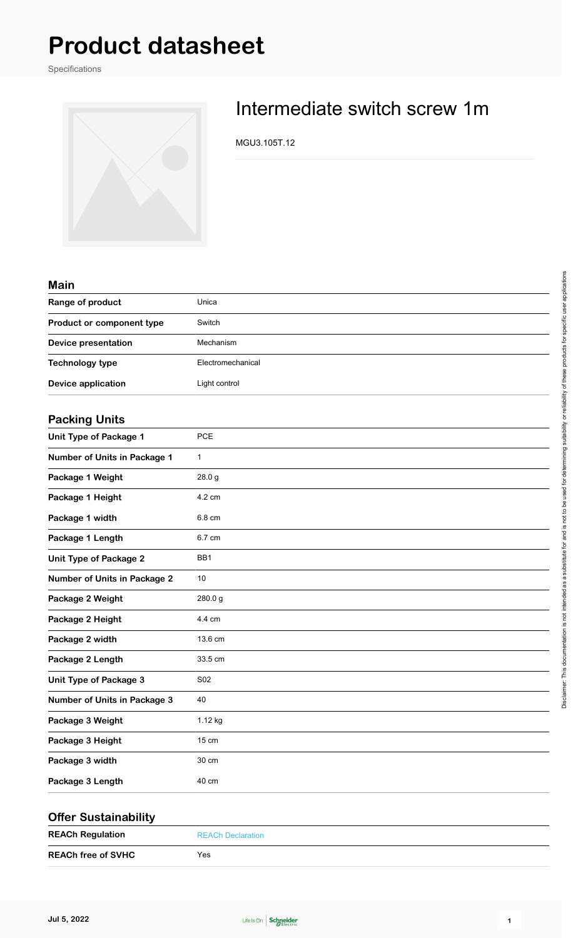## **Product datasheet**

Specifications



## Intermediate switch screw 1m

MGU3.105T.12

| <b>Main</b>                         |                   |
|-------------------------------------|-------------------|
| Range of product                    | Unica             |
| Product or component type           | Switch            |
| <b>Device presentation</b>          | Mechanism         |
| <b>Technology type</b>              | Electromechanical |
| <b>Device application</b>           | Light control     |
| <b>Packing Units</b>                |                   |
| Unit Type of Package 1              | PCE               |
| Number of Units in Package 1        | $\mathbf 1$       |
| Package 1 Weight                    | 28.0 g            |
| Package 1 Height                    | 4.2 cm            |
| Package 1 width                     | 6.8 cm            |
| Package 1 Length                    | 6.7 cm            |
| <b>Unit Type of Package 2</b>       | BB1               |
| Number of Units in Package 2        | 10                |
| Package 2 Weight                    | 280.0g            |
| Package 2 Height                    | 4.4 cm            |
| Package 2 width                     | 13.6 cm           |
| Package 2 Length                    | 33.5 cm           |
| Unit Type of Package 3              | S02               |
| <b>Number of Units in Package 3</b> | 40                |
| Package 3 Weight                    | 1.12 kg           |
| Package 3 Height                    | 15 cm             |
| Package 3 width                     | 30 cm             |
| Package 3 Length                    | 40 cm             |
|                                     |                   |

| <b>Offer Sustainability</b> |                          |
|-----------------------------|--------------------------|
| <b>REACh Regulation</b>     | <b>REACh Declaration</b> |
| <b>REACh free of SVHC</b>   | Yes                      |